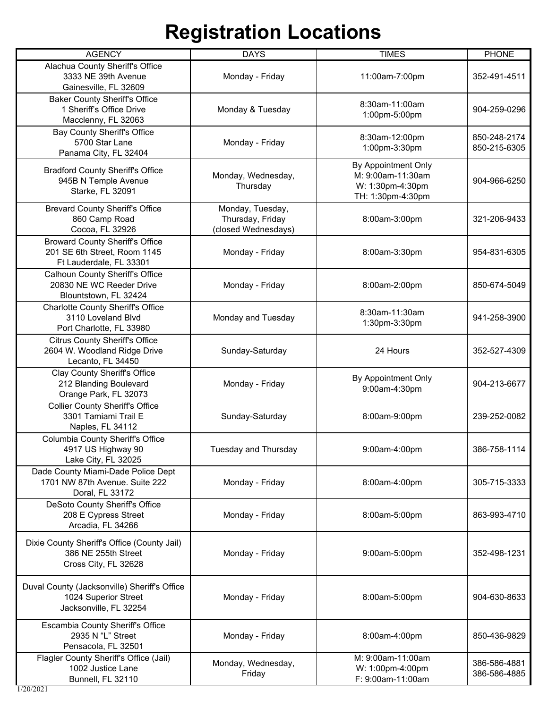| <b>AGENCY</b>                                                                                     | <b>DAYS</b>                                                 | <b>TIMES</b>                                                                      | <b>PHONE</b>                 |
|---------------------------------------------------------------------------------------------------|-------------------------------------------------------------|-----------------------------------------------------------------------------------|------------------------------|
| Alachua County Sheriff's Office<br>3333 NE 39th Avenue<br>Gainesville, FL 32609                   | Monday - Friday                                             | 11:00am-7:00pm                                                                    | 352-491-4511                 |
| <b>Baker County Sheriff's Office</b><br>1 Sheriff's Office Drive<br>Macclenny, FL 32063           | Monday & Tuesday                                            | 8:30am-11:00am<br>1:00pm-5:00pm                                                   | 904-259-0296                 |
| <b>Bay County Sheriff's Office</b><br>5700 Star Lane<br>Panama City, FL 32404                     | Monday - Friday                                             | 8:30am-12:00pm<br>1:00pm-3:30pm                                                   | 850-248-2174<br>850-215-6305 |
| <b>Bradford County Sheriff's Office</b><br>945B N Temple Avenue<br>Starke, FL 32091               | Monday, Wednesday,<br>Thursday                              | By Appointment Only<br>M: 9:00am-11:30am<br>W: 1:30pm-4:30pm<br>TH: 1:30pm-4:30pm | 904-966-6250                 |
| <b>Brevard County Sheriff's Office</b><br>860 Camp Road<br>Cocoa, FL 32926                        | Monday, Tuesday,<br>Thursday, Friday<br>(closed Wednesdays) | 8:00am-3:00pm                                                                     | 321-206-9433                 |
| <b>Broward County Sheriff's Office</b><br>201 SE 6th Street, Room 1145<br>Ft Lauderdale, FL 33301 | Monday - Friday                                             | 8:00am-3:30pm                                                                     | 954-831-6305                 |
| <b>Calhoun County Sheriff's Office</b><br>20830 NE WC Reeder Drive<br>Blountstown, FL 32424       | Monday - Friday                                             | 8:00am-2:00pm                                                                     | 850-674-5049                 |
| <b>Charlotte County Sheriff's Office</b><br>3110 Loveland Blvd<br>Port Charlotte, FL 33980        | Monday and Tuesday                                          | 8:30am-11:30am<br>1:30pm-3:30pm                                                   | 941-258-3900                 |
| <b>Citrus County Sheriff's Office</b><br>2604 W. Woodland Ridge Drive<br>Lecanto, FL 34450        | Sunday-Saturday                                             | 24 Hours                                                                          | 352-527-4309                 |
| Clay County Sheriff's Office<br>212 Blanding Boulevard<br>Orange Park, FL 32073                   | Monday - Friday                                             | By Appointment Only<br>9:00am-4:30pm                                              | 904-213-6677                 |
| <b>Collier County Sheriff's Office</b><br>3301 Tamiami Trail E<br>Naples, FL 34112                | Sunday-Saturday                                             | 8:00am-9:00pm                                                                     | 239-252-0082                 |
| Columbia County Sheriff's Office<br>4917 US Highway 90<br>Lake City, FL 32025                     | Tuesday and Thursday                                        | $9:00$ am-4:00pm                                                                  | 386-758-1114                 |
| Dade County Miami-Dade Police Dept<br>1701 NW 87th Avenue. Suite 222<br>Doral, FL 33172           | Monday - Friday                                             | 8:00am-4:00pm                                                                     | 305-715-3333                 |
| DeSoto County Sheriff's Office<br>208 E Cypress Street<br>Arcadia, FL 34266                       | Monday - Friday                                             | 8:00am-5:00pm                                                                     | 863-993-4710                 |
| Dixie County Sheriff's Office (County Jail)<br>386 NE 255th Street<br>Cross City, FL 32628        | Monday - Friday                                             | 9:00am-5:00pm                                                                     | 352-498-1231                 |
| Duval County (Jacksonville) Sheriff's Office<br>1024 Superior Street<br>Jacksonville, FL 32254    | Monday - Friday                                             | 8:00am-5:00pm                                                                     | 904-630-8633                 |
| Escambia County Sheriff's Office<br>2935 N "L" Street<br>Pensacola, FL 32501                      | Monday - Friday                                             | 8:00am-4:00pm                                                                     | 850-436-9829                 |
| Flagler County Sheriff's Office (Jail)<br>1002 Justice Lane<br>Bunnell, FL 32110                  | Monday, Wednesday,<br>Friday                                | M: 9:00am-11:00am<br>W: 1:00pm-4:00pm<br>F: 9:00am-11:00am                        | 386-586-4881<br>386-586-4885 |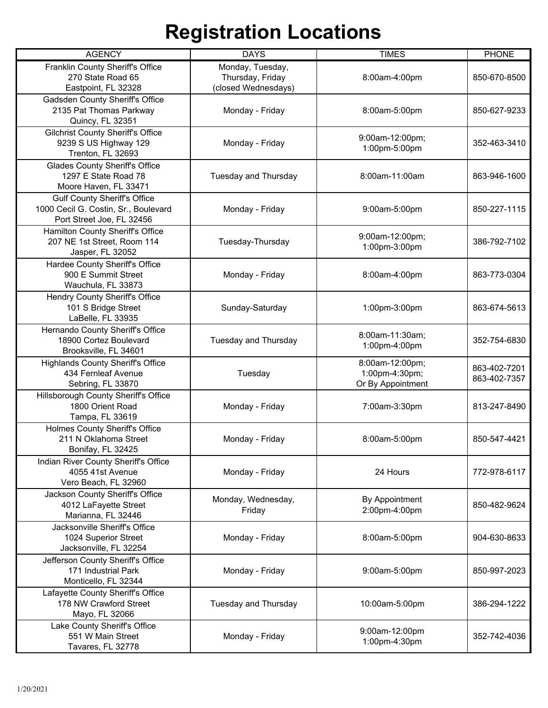| <b>AGENCY</b>                                                                                            | <b>DAYS</b>                                                 | <b>TIMES</b>                                           | <b>PHONE</b>                 |
|----------------------------------------------------------------------------------------------------------|-------------------------------------------------------------|--------------------------------------------------------|------------------------------|
| Franklin County Sheriff's Office<br>270 State Road 65<br>Eastpoint, FL 32328                             | Monday, Tuesday,<br>Thursday, Friday<br>(closed Wednesdays) | 8:00am-4:00pm                                          | 850-670-8500                 |
| Gadsden County Sheriff's Office<br>2135 Pat Thomas Parkway<br>Quincy, FL 32351                           | Monday - Friday                                             | 8:00am-5:00pm                                          | 850-627-9233                 |
| <b>Gilchrist County Sheriff's Office</b><br>9239 S US Highway 129<br>Trenton, FL 32693                   | Monday - Friday                                             | 9:00am-12:00pm;<br>1:00pm-5:00pm                       | 352-463-3410                 |
| <b>Glades County Sheriff's Office</b><br>1297 E State Road 78<br>Moore Haven, FL 33471                   | Tuesday and Thursday                                        | 8:00am-11:00am                                         | 863-946-1600                 |
| <b>Gulf County Sheriff's Office</b><br>1000 Cecil G. Costin, Sr., Boulevard<br>Port Street Joe, FL 32456 | Monday - Friday                                             | 9:00am-5:00pm                                          | 850-227-1115                 |
| Hamilton County Sheriff's Office<br>207 NE 1st Street, Room 114<br>Jasper, FL 32052                      | Tuesday-Thursday                                            | 9:00am-12:00pm;<br>1:00pm-3:00pm                       | 386-792-7102                 |
| Hardee County Sheriff's Office<br>900 E Summit Street<br>Wauchula, FL 33873                              | Monday - Friday                                             | 8:00am-4:00pm                                          | 863-773-0304                 |
| Hendry County Sheriff's Office<br>101 S Bridge Street<br>LaBelle, FL 33935                               | Sunday-Saturday                                             | 1:00pm-3:00pm                                          | 863-674-5613                 |
| Hernando County Sheriff's Office<br>18900 Cortez Boulevard<br>Brooksville, FL 34601                      | Tuesday and Thursday                                        | 8:00am-11:30am;<br>1:00pm-4:00pm                       | 352-754-6830                 |
| <b>Highlands County Sheriff's Office</b><br>434 Fernleaf Avenue<br>Sebring, FL 33870                     | Tuesday                                                     | 8:00am-12:00pm;<br>1:00pm-4:30pm;<br>Or By Appointment | 863-402-7201<br>863-402-7357 |
| Hillsborough County Sheriff's Office<br>1800 Orient Road<br>Tampa, FL 33619                              | Monday - Friday                                             | 7:00am-3:30pm                                          | 813-247-8490                 |
| Holmes County Sheriff's Office<br>211 N Oklahoma Street<br>Bonifay, FL 32425                             | Monday - Friday                                             | 8:00am-5:00pm                                          | 850-547-4421                 |
| Indian River County Sheriff's Office<br>4055 41st Avenue<br>Vero Beach, FL 32960                         | Monday - Friday                                             | 24 Hours                                               | 772-978-6117                 |
| Jackson County Sheriff's Office<br>4012 LaFayette Street<br>Marianna, FL 32446                           | Monday, Wednesday,<br>Friday                                | By Appointment<br>2:00pm-4:00pm                        | 850-482-9624                 |
| Jacksonville Sheriff's Office<br>1024 Superior Street<br>Jacksonville, FL 32254                          | Monday - Friday                                             | 8:00am-5:00pm                                          | 904-630-8633                 |
| Jefferson County Sheriff's Office<br>171 Industrial Park<br>Monticello, FL 32344                         | Monday - Friday                                             | 9:00am-5:00pm                                          | 850-997-2023                 |
| Lafayette County Sheriff's Office<br>178 NW Crawford Street<br>Mayo, FL 32066                            | Tuesday and Thursday                                        | 10:00am-5:00pm                                         | 386-294-1222                 |
| Lake County Sheriff's Office<br>551 W Main Street<br>Tavares, FL 32778                                   | Monday - Friday                                             | 9:00am-12:00pm<br>1:00pm-4:30pm                        | 352-742-4036                 |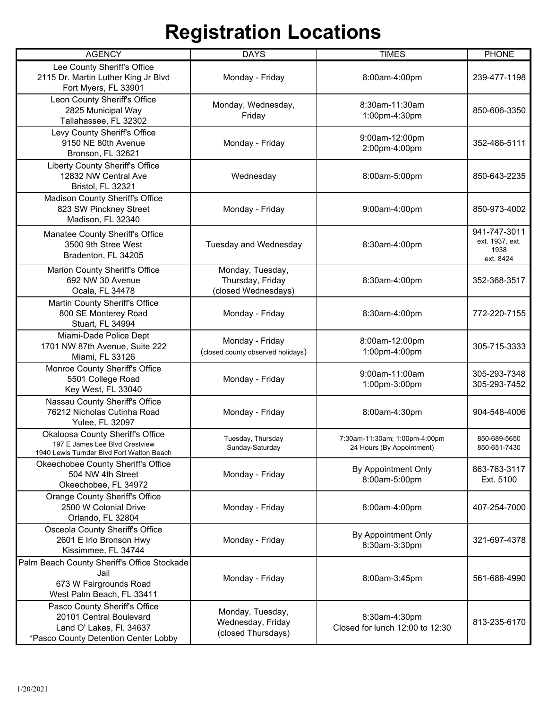| <b>AGENCY</b>                                                                                                                | <b>DAYS</b>                                                 | <b>TIMES</b>                                               | <b>PHONE</b>                                         |
|------------------------------------------------------------------------------------------------------------------------------|-------------------------------------------------------------|------------------------------------------------------------|------------------------------------------------------|
| Lee County Sheriff's Office<br>2115 Dr. Martin Luther King Jr Blvd<br>Fort Myers, FL 33901                                   | Monday - Friday                                             | 8:00am-4:00pm                                              | 239-477-1198                                         |
| Leon County Sheriff's Office<br>2825 Municipal Way<br>Tallahassee, FL 32302                                                  | Monday, Wednesday,<br>Friday                                | 8:30am-11:30am<br>1:00pm-4:30pm                            | 850-606-3350                                         |
| Levy County Sheriff's Office<br>9150 NE 80th Avenue<br>Bronson, FL 32621                                                     | Monday - Friday                                             | 9:00am-12:00pm<br>2:00pm-4:00pm                            | 352-486-5111                                         |
| Liberty County Sheriff's Office<br>12832 NW Central Ave<br>Bristol, FL 32321                                                 | Wednesday                                                   | 8:00am-5:00pm                                              | 850-643-2235                                         |
| Madison County Sheriff's Office<br>823 SW Pinckney Street<br>Madison, FL 32340                                               | Monday - Friday                                             | 9:00am-4:00pm                                              | 850-973-4002                                         |
| Manatee County Sheriff's Office<br>3500 9th Stree West<br>Bradenton, FL 34205                                                | Tuesday and Wednesday                                       | 8:30am-4:00pm                                              | 941-747-3011<br>ext. 1937, ext.<br>1938<br>ext. 8424 |
| Marion County Sheriff's Office<br>692 NW 30 Avenue<br>Ocala, FL 34478                                                        | Monday, Tuesday,<br>Thursday, Friday<br>(closed Wednesdays) | 8:30am-4:00pm                                              | 352-368-3517                                         |
| Martin County Sheriff's Office<br>800 SE Monterey Road<br>Stuart, FL 34994                                                   | Monday - Friday                                             | 8:30am-4:00pm                                              | 772-220-7155                                         |
| Miami-Dade Police Dept<br>1701 NW 87th Avenue, Suite 222<br>Miami, FL 33126                                                  | Monday - Friday<br>(closed county observed holidays)        | 8:00am-12:00pm<br>1:00pm-4:00pm                            | 305-715-3333                                         |
| Monroe County Sheriff's Office<br>5501 College Road<br>Key West, FL 33040                                                    | Monday - Friday                                             | 9:00am-11:00am<br>1:00pm-3:00pm                            | 305-293-7348<br>305-293-7452                         |
| Nassau County Sheriff's Office<br>76212 Nicholas Cutinha Road<br>Yulee, FL 32097                                             | Monday - Friday                                             | 8:00am-4:30pm                                              | 904-548-4006                                         |
| Okaloosa County Sheriff's Office<br>197 E James Lee Blyd Crestview<br>1940 Lewis Turnder Blvd Fort Walton Beach              | Tuesday, Thursday<br>Sunday-Saturday                        | 7:30am-11:30am; 1:00pm-4:00pm<br>24 Hours (By Appointment) | 850-689-5650<br>850-651-7430                         |
| Okeechobee County Sheriff's Office<br>504 NW 4th Street<br>Okeechobee, FL 34972                                              | Monday - Friday                                             | By Appointment Only<br>8:00am-5:00pm                       | 863-763-3117<br>Ext. 5100                            |
| <b>Orange County Sheriff's Office</b><br>2500 W Colonial Drive<br>Orlando, FL 32804                                          | Monday - Friday                                             | 8:00am-4:00pm                                              | 407-254-7000                                         |
| Osceola County Sheriff's Office<br>2601 E Irlo Bronson Hwy<br>Kissimmee, FL 34744                                            | Monday - Friday                                             | By Appointment Only<br>8:30am-3:30pm                       | 321-697-4378                                         |
| Palm Beach County Sheriff's Office Stockade<br>Jail<br>673 W Fairgrounds Road<br>West Palm Beach, FL 33411                   | Monday - Friday                                             | 8:00am-3:45pm                                              | 561-688-4990                                         |
| Pasco County Sheriff's Office<br>20101 Central Boulevard<br>Land O' Lakes, Fl. 34637<br>*Pasco County Detention Center Lobby | Monday, Tuesday,<br>Wednesday, Friday<br>(closed Thursdays) | 8:30am-4:30pm<br>Closed for lunch 12:00 to 12:30           | 813-235-6170                                         |